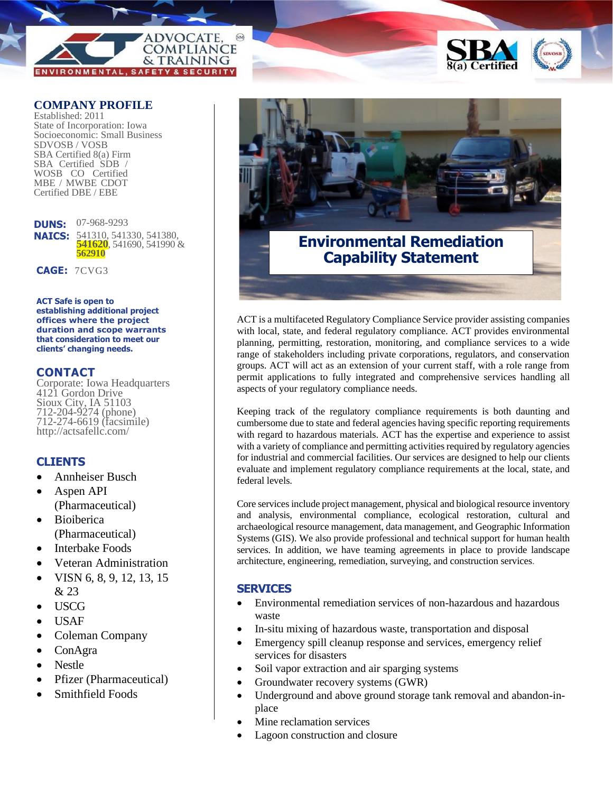

### **COMPANY PROFILE**

Established: 2011 State of Incorporation: Iowa Socioeconomic: Small Business SDVOSB / VOSB SBA Certified 8(a) Firm SBA Certified SDB / WOSB CO Certified MBE / MWBE CDOT Certified DBE / EBE

**DUNS:**  07-968-9293 **NAICS:** 541310, 541330, 541380, **541620**, 541690, 541990 & **562910**

**CAGE:** 7CVG3

**ACT Safe is open to establishing additional project offices where the project duration and scope warrants that consideration to meet our clients' changing needs.**

#### **CONTACT**

Corporate: Iowa Headquarters 4121 Gordon Drive Sioux City, IA 51103 712-204-9274 (phone) 712-274-6619 (facsimile) http://actsafellc.com/

## **CLIENTS**

- Annheiser Busch
- Aspen API (Pharmaceutical)
- Bioiberica (Pharmaceutical)
- Interbake Foods
- Veteran Administration
- VISN 6, 8, 9, 12, 13, 15 & 23
- USCG
- USAF
- Coleman Company
- ConAgra
- Nestle
- Pfizer (Pharmaceutical)
- Smithfield Foods



# **Environmental Remediation Capability Statement**

ACT is a multifaceted Regulatory Compliance Service provider assisting companies with local, state, and federal regulatory compliance. ACT provides environmental planning, permitting, restoration, monitoring, and compliance services to a wide range of stakeholders including private corporations, regulators, and conservation groups. ACT will act as an extension of your current staff, with a role range from permit applications to fully integrated and comprehensive services handling all aspects of your regulatory compliance needs.

Keeping track of the regulatory compliance requirements is both daunting and cumbersome due to state and federal agencies having specific reporting requirements with regard to hazardous materials. ACT has the expertise and experience to assist with a variety of compliance and permitting activities required by regulatory agencies for industrial and commercial facilities. Our services are designed to help our clients evaluate and implement regulatory compliance requirements at the local, state, and federal levels.

Core services include project management, physical and biological resource inventory and analysis, environmental compliance, ecological restoration, cultural and archaeological resource management, data management, and Geographic Information Systems (GIS). We also provide professional and technical support for human health services. In addition, we have teaming agreements in place to provide landscape architecture, engineering, remediation, surveying, and construction services.

## **SERVICES**

- Environmental remediation services of non-hazardous and hazardous waste
- In-situ mixing of hazardous waste, transportation and disposal
- Emergency spill cleanup response and services, emergency relief services for disasters
- Soil vapor extraction and air sparging systems
- Groundwater recovery systems (GWR)
- Underground and above ground storage tank removal and abandon-inplace
- Mine reclamation services
- Lagoon construction and closure